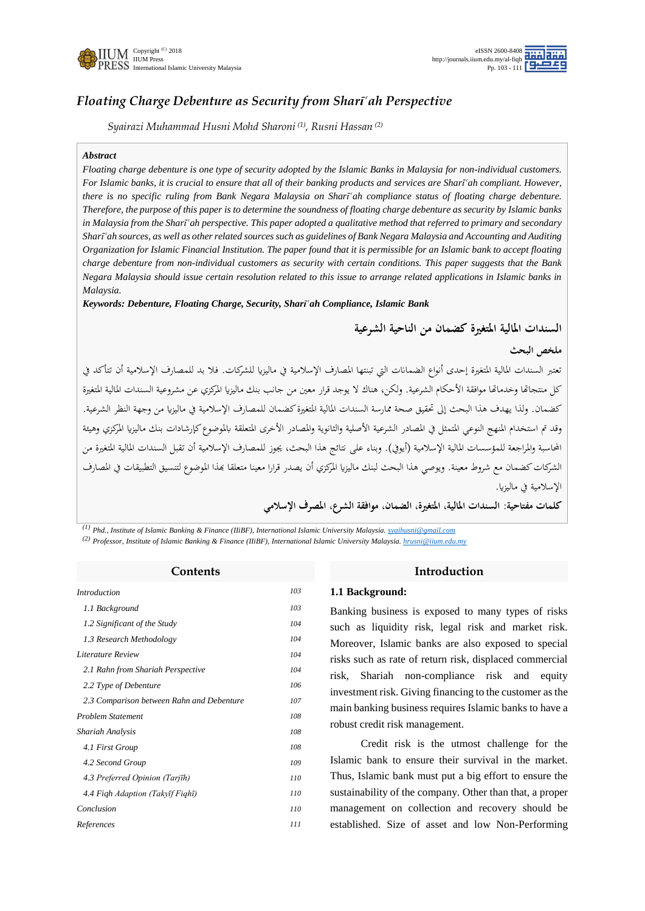

# *Floating Charge Debenture as Security from Sharī'ah Perspective*

*Syairazi Muhammad Husni Mohd Sharoni (1) , Rusni Hassan (2)*

#### *Abstract*

*Floating charge debenture is one type of security adopted by the Islamic Banks in Malaysia for non-individual customers. For Islamic banks, it is crucial to ensure that all of their banking products and services are Sharī'ah compliant. However, there is no specific ruling from Bank Negara Malaysia on Sharī<sup><i>cah compliance status of floating charge debenture.*</sup> *Therefore, the purpose of this paper is to determine the soundness of floating charge debenture as security by Islamic banks in Malaysia from the Shari<sup>c</sup>ah perspective. This paper adopted a qualitative method that referred to primary and secondary SharÊÑah sources, as well as other related sources such as guidelines of Bank Negara Malaysia and Accounting and Auditing Organization for Islamic Financial Institution. The paper found that it is permissible for an Islamic bank to accept floating charge debenture from non-individual customers as security with certain conditions. This paper suggests that the Bank Negara Malaysia should issue certain resolution related to this issue to arrange related applications in Islamic banks in Malaysia.* 

*Keywords: Debenture, Floating Charge, Security, Sharīʿah Compliance, Islamic Bank* 

**السندات املالية املتغرية كضمان من الناحية الشرعية**

**ملخص البحث**

تعتبر السندات المالية المتغيرة إحدى أنواع الضمانات التي تبنتها المصارف الإسلامية في ماليزيا للشركات. فلا بد للمصارف الإسلامية أن تتأكد في كل منتجاتما وخدماها موافقة الأحكام الشرعية. ولكن، هناك لا يوجد قرار معين من جانب بنك ماليزيا المركزي عن مشروعية السندات المالية المتغيرة كضمان. ولذا يهدف هذا البحث إلى تحقيق صحة ممارسة السندات المالية المتغيرة كضمان للمصارف الإسلامية في ماليزيا من وجهة النظر الشرعية. وقد تم استخدام المنهج النوعي المتمثل في المصادر الشرعية الأصلية والثانوية والمصادر الأخرى المتعلقة بالموضوع كإرشادات بنك ماليزيا المركزي وهيئة المحاسبة والمراجعة للمؤسسات المالية الإسلامية (أيوف). وبناء على نتائج هذا البحث، يجوز للمصارف الإسلامية أن تقبل السندات المالية المتغيرة من الشركات كضمان مع شروط معينة. ويوصي هذا البحث لبنك ماليزيا المركزي أن يصدر قرارا معينا متعلقا بمذا الموضوع لتنسيق التطبيقات في المصارف الإسلامية في ماليزيا.

**كلمات مفتاحية: السندات املالية، املتغرية، الضمان، موافقة الشرع، املصرف اإلسالمي**

*(1) Phd., Institute of Islamic Banking & Finance (IIiBF), International Islamic University Malaysia. [syaihusni@gmail.com](mailto:syaihusni@gmail.com)*

*(2) Professor, Institute of Islamic Banking & Finance (IIiBF), International Islamic University Malaysia[. hrusni@iium.edu.my](mailto:hrusni@iium.edu.my)*

| Contents                                  |     |  |  |
|-------------------------------------------|-----|--|--|
| <i>Introduction</i>                       | 103 |  |  |
| 1.1 Background                            | 103 |  |  |
| 1.2 Significant of the Study              | 104 |  |  |
| 1.3 Research Methodology                  | 104 |  |  |
| Literature Review                         | 104 |  |  |
| 2.1 Rahn from Shariah Perspective         | 104 |  |  |
| 2.2 Type of Debenture                     | 106 |  |  |
| 2.3 Comparison between Rahn and Debenture | 107 |  |  |
| <b>Problem Statement</b>                  | 108 |  |  |
| Shariah Analysis                          | 108 |  |  |
| 4.1 First Group                           | 108 |  |  |
| 4.2 Second Group                          | 109 |  |  |
| 4.3 Preferred Opinion (Tarjīh)            | 110 |  |  |
| 4.4 Figh Adaption (Takyīf Fighī)          | 110 |  |  |
| Conclusion                                | 110 |  |  |
| References                                | 111 |  |  |

#### **Introduction**

#### **1.1 Background:**

Banking business is exposed to many types of risks such as liquidity risk, legal risk and market risk. Moreover, Islamic banks are also exposed to special risks such as rate of return risk, displaced commercial risk, Shariah non-compliance risk and equity investment risk. Giving financing to the customer as the main banking business requires Islamic banks to have a robust credit risk management.

Credit risk is the utmost challenge for the Islamic bank to ensure their survival in the market. Thus, Islamic bank must put a big effort to ensure the sustainability of the company. Other than that, a proper management on collection and recovery should be established. Size of asset and low Non-Performing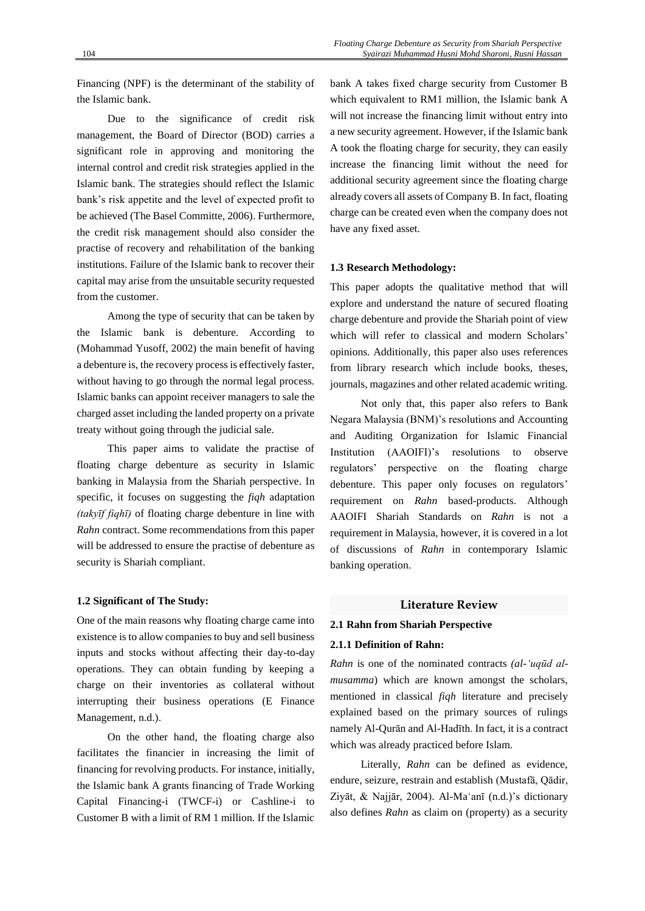Financing (NPF) is the determinant of the stability of the Islamic bank.

Due to the significance of credit risk management, the Board of Director (BOD) carries a significant role in approving and monitoring the internal control and credit risk strategies applied in the Islamic bank. The strategies should reflect the Islamic bank's risk appetite and the level of expected profit to be achieved (The Basel Committe, 2006). Furthermore, the credit risk management should also consider the practise of recovery and rehabilitation of the banking institutions. Failure of the Islamic bank to recover their capital may arise from the unsuitable security requested from the customer.

Among the type of security that can be taken by the Islamic bank is debenture. According to (Mohammad Yusoff, 2002) the main benefit of having a debenture is, the recovery process is effectively faster, without having to go through the normal legal process. Islamic banks can appoint receiver managers to sale the charged asset including the landed property on a private treaty without going through the judicial sale.

This paper aims to validate the practise of floating charge debenture as security in Islamic banking in Malaysia from the Shariah perspective. In specific, it focuses on suggesting the *fiqh* adaptation *(takyīf fiqhī)* of floating charge debenture in line with *Rahn* contract. Some recommendations from this paper will be addressed to ensure the practise of debenture as security is Shariah compliant.

#### **1.2 Significant of The Study:**

One of the main reasons why floating charge came into existence is to allow companies to buy and sell business inputs and stocks without affecting their day-to-day operations. They can obtain funding by keeping a charge on their inventories as collateral without interrupting their business operations (E Finance Management, n.d.).

On the other hand, the floating charge also facilitates the financier in increasing the limit of financing for revolving products. For instance, initially, the Islamic bank A grants financing of Trade Working Capital Financing-i (TWCF-i) or Cashline-i to Customer B with a limit of RM 1 million. If the Islamic

bank A takes fixed charge security from Customer B which equivalent to RM1 million, the Islamic bank A will not increase the financing limit without entry into a new security agreement. However, if the Islamic bank A took the floating charge for security, they can easily increase the financing limit without the need for additional security agreement since the floating charge already covers all assets of Company B. In fact, floating charge can be created even when the company does not have any fixed asset.

# **1.3 Research Methodology:**

This paper adopts the qualitative method that will explore and understand the nature of secured floating charge debenture and provide the Shariah point of view which will refer to classical and modern Scholars' opinions. Additionally, this paper also uses references from library research which include books, theses, journals, magazines and other related academic writing.

Not only that, this paper also refers to Bank Negara Malaysia (BNM)'s resolutions and Accounting and Auditing Organization for Islamic Financial Institution (AAOIFI)'s resolutions to observe regulators' perspective on the floating charge debenture. This paper only focuses on regulators' requirement on *Rahn* based-products. Although AAOIFI Shariah Standards on *Rahn* is not a requirement in Malaysia, however, it is covered in a lot of discussions of *Rahn* in contemporary Islamic banking operation.

# **Literature Review**

### **2.1 Rahn from Shariah Perspective**

## **2.1.1 Definition of Rahn:**

*Rahn* is one of the nominated contracts *(al-'uqūd almusamma*) which are known amongst the scholars, mentioned in classical *fiqh* literature and precisely explained based on the primary sources of rulings namely Al-Qurān and Al-Hadīth. In fact, it is a contract which was already practiced before Islam.

Literally, *Rahn* can be defined as evidence, endure, seizure, restrain and establish (Mustafā, Qādir, Ziyāt, & Najjār, 2004). Al-Ma'anī (n.d.)'s dictionary also defines *Rahn* as claim on (property) as a security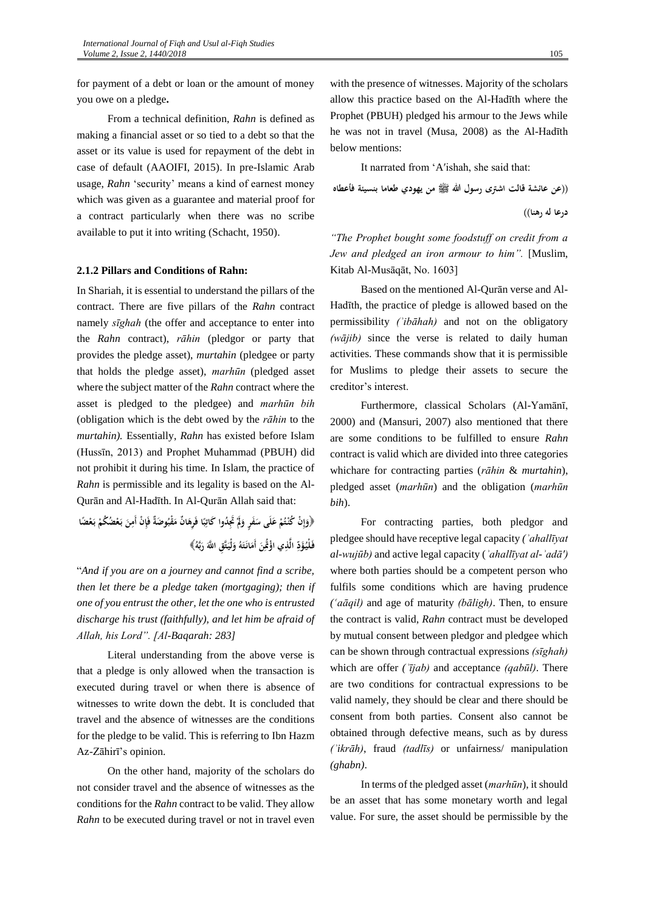for payment of a debt or loan or the amount of money you owe on a pledge**.**

From a technical definition, *Rahn* is defined as making a financial asset or so tied to a debt so that the asset or its value is used for repayment of the debt in case of default (AAOIFI, 2015). In pre-Islamic Arab usage, *Rahn* 'security' means a kind of earnest money which was given as a guarantee and material proof for a contract particularly when there was no scribe available to put it into writing (Schacht, 1950).

## **2.1.2 Pillars and Conditions of Rahn:**

In Shariah, it is essential to understand the pillars of the contract. There are five pillars of the *Rahn* contract namely *sīghah* (the offer and acceptance to enter into the *Rahn* contract), *rāhin* (pledgor or party that provides the pledge asset), *murtahin* (pledgee or party that holds the pledge asset), *marhūn* (pledged asset where the subject matter of the *Rahn* contract where the asset is pledged to the pledgee) and *marhūn bih* (obligation which is the debt owed by the *rāhin* to the *murtahin).* Essentially, *Rahn* has existed before Islam (Hussīn, 2013) and Prophet Muhammad (PBUH) did not prohibit it during his time. In Islam, the practice of *Rahn* is permissible and its legality is based on the Al-Qurān and Al-Hadīth. In Al-Qurān Allah said that:

﴿وَإِنْ كُنْتُمْ عَلَى سَفَرٍ وَلَمْ تُجِدُوا كَاتِبًا فَرِهَانٌ مَقْبُوضَةٌ فَإِنْ أَمِنَ بَعْضُكُمْ بَعْضًا **ِ َ َ ً ِ َ َ ِ َ ِ َ َ ِ** فَلْيُؤَدِّ الَّذِي اؤْثُمِنَ أَمَانَتَهُ وَلْيَتَّقِ اللَّهَ رَبَّهُ﴾ **َ ا َ َ َ َ َ َ**

"*And if you are on a journey and cannot find a scribe, then let there be a pledge taken (mortgaging); then if one of you entrust the other, let the one who is entrusted discharge his trust (faithfully), and let him be afraid of Allah, his Lord". [Al-Baqarah: 283]*

Literal understanding from the above verse is that a pledge is only allowed when the transaction is executed during travel or when there is absence of witnesses to write down the debt. It is concluded that travel and the absence of witnesses are the conditions for the pledge to be valid. This is referring to Ibn Hazm Az-Zāhirī's opinion.

On the other hand, majority of the scholars do not consider travel and the absence of witnesses as the conditions for the *Rahn* contract to be valid. They allow *Rahn* to be executed during travel or not in travel even with the presence of witnesses. Majority of the scholars allow this practice based on the Al-Hadīth where the Prophet (PBUH) pledged his armour to the Jews while he was not in travel (Musa, 2008) as the Al-Hadīth below mentions:

It narrated from 'A′ishah, she said that:

**))عن عائشة قالت اشرتى رسول هللا صلى الله عليه وسلم من يهودي طعاما بنسيئة فأعطاه**

**درعا له رهنا((**

*"The Prophet bought some foodstuff on credit from a Jew and pledged an iron armour to him".* [Muslim, Kitab Al-Musāqāt, No. 1603]

Based on the mentioned Al-Qurān verse and Al-Hadīth, the practice of pledge is allowed based on the permissibility *(ʾibāhah)* and not on the obligatory *(wājib)* since the verse is related to daily human activities. These commands show that it is permissible for Muslims to pledge their assets to secure the creditor's interest.

Furthermore, classical Scholars (Al-Yamānī, 2000) and (Mansuri, 2007) also mentioned that there are some conditions to be fulfilled to ensure *Rahn*  contract is valid which are divided into three categories whichare for contracting parties (*rāhin* & *murtahin*), pledged asset (*marhūn*) and the obligation (*marhūn bih*).

For contracting parties, both pledgor and pledgee should have receptive legal capacity *(ʾahallīyat al-wujūb)* and active legal capacity (*ʾahallīyat al-ʾadā′)* where both parties should be a competent person who fulfils some conditions which are having prudence *(Ñaāqil)* and age of maturity *(bāligh)*. Then, to ensure the contract is valid, *Rahn* contract must be developed by mutual consent between pledgor and pledgee which can be shown through contractual expressions *(sīghah)* which are offer *(ʾījab)* and acceptance *(qabūl)*. There are two conditions for contractual expressions to be valid namely, they should be clear and there should be consent from both parties. Consent also cannot be obtained through defective means, such as by duress *(ʾikrāh)*, fraud *(tadlīs)* or unfairness/ manipulation *(ghabn)*.

In terms of the pledged asset (*marhūn*), it should be an asset that has some monetary worth and legal value. For sure, the asset should be permissible by the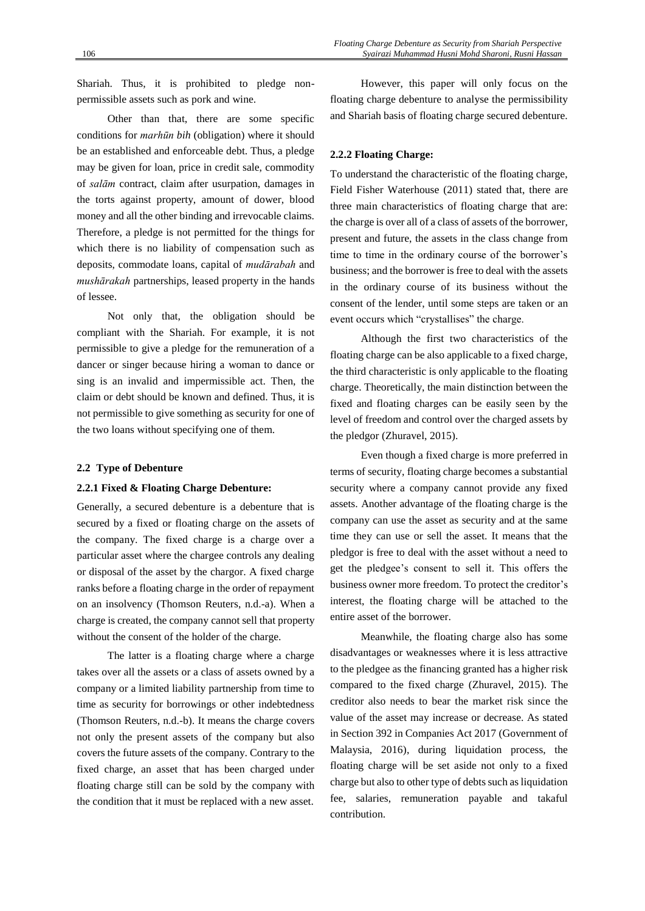Shariah. Thus, it is prohibited to pledge nonpermissible assets such as pork and wine.

Other than that, there are some specific conditions for *marhūn bih* (obligation) where it should be an established and enforceable debt. Thus, a pledge may be given for loan, price in credit sale, commodity of *salām* contract, claim after usurpation, damages in the torts against property, amount of dower, blood money and all the other binding and irrevocable claims. Therefore, a pledge is not permitted for the things for which there is no liability of compensation such as deposits, commodate loans, capital of *mudārabah* and *mushārakah* partnerships, leased property in the hands of lessee.

Not only that, the obligation should be compliant with the Shariah. For example, it is not permissible to give a pledge for the remuneration of a dancer or singer because hiring a woman to dance or sing is an invalid and impermissible act. Then, the claim or debt should be known and defined. Thus, it is not permissible to give something as security for one of the two loans without specifying one of them.

#### **2.2 Type of Debenture**

#### **2.2.1 Fixed & Floating Charge Debenture:**

Generally, a secured debenture is a debenture that is secured by a fixed or floating charge on the assets of the company. The fixed charge is a charge over a particular asset where the chargee controls any dealing or disposal of the asset by the chargor. A fixed charge ranks before a floating charge in the order of repayment on an insolvency (Thomson Reuters, n.d.-a). When a charge is created, the company cannot sell that property without the consent of the holder of the charge.

The latter is a floating charge where a charge takes over all the assets or a class of assets owned by a company or a limited liability partnership from time to time as security for borrowings or other indebtedness (Thomson Reuters, n.d.-b). It means the charge covers not only the present assets of the company but also covers the future assets of the company. Contrary to the fixed charge, an asset that has been charged under floating charge still can be sold by the company with the condition that it must be replaced with a new asset.

However, this paper will only focus on the floating charge debenture to analyse the permissibility and Shariah basis of floating charge secured debenture.

### **2.2.2 Floating Charge:**

To understand the characteristic of the floating charge, Field Fisher Waterhouse (2011) stated that, there are three main characteristics of floating charge that are: the charge is over all of a class of assets of the borrower, present and future, the assets in the class change from time to time in the ordinary course of the borrower's business; and the borrower is free to deal with the assets in the ordinary course of its business without the consent of the lender, until some steps are taken or an event occurs which "crystallises" the charge.

Although the first two characteristics of the floating charge can be also applicable to a fixed charge, the third characteristic is only applicable to the floating charge. Theoretically, the main distinction between the fixed and floating charges can be easily seen by the level of freedom and control over the charged assets by the pledgor (Zhuravel, 2015).

Even though a fixed charge is more preferred in terms of security, floating charge becomes a substantial security where a company cannot provide any fixed assets. Another advantage of the floating charge is the company can use the asset as security and at the same time they can use or sell the asset. It means that the pledgor is free to deal with the asset without a need to get the pledgee's consent to sell it. This offers the business owner more freedom. To protect the creditor's interest, the floating charge will be attached to the entire asset of the borrower.

Meanwhile, the floating charge also has some disadvantages or weaknesses where it is less attractive to the pledgee as the financing granted has a higher risk compared to the fixed charge (Zhuravel, 2015). The creditor also needs to bear the market risk since the value of the asset may increase or decrease. As stated in Section 392 in Companies Act 2017 (Government of Malaysia, 2016), during liquidation process, the floating charge will be set aside not only to a fixed charge but also to other type of debts such as liquidation fee, salaries, remuneration payable and takaful contribution.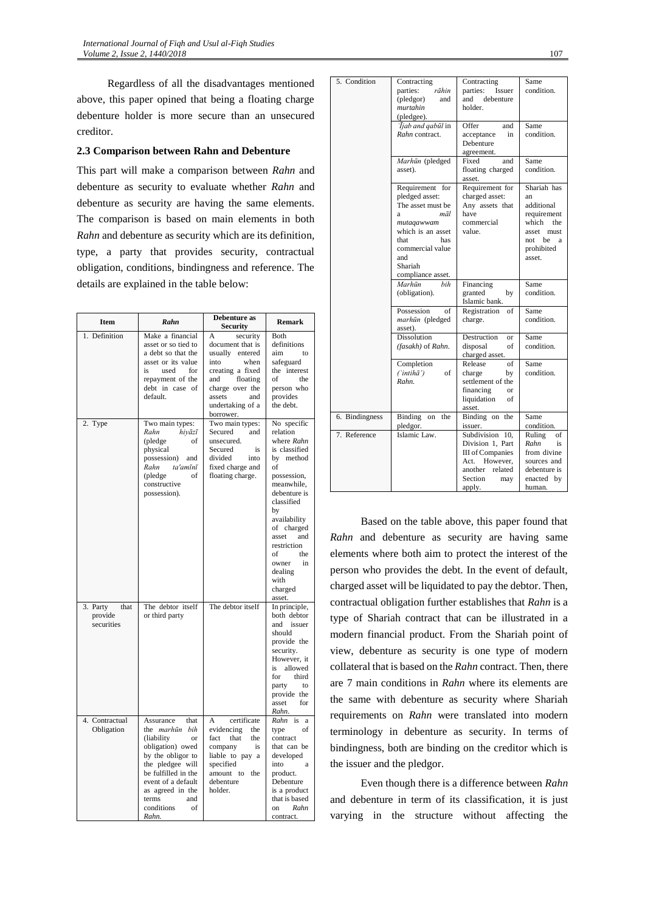Regardless of all the disadvantages mentioned above, this paper opined that being a floating charge debenture holder is more secure than an unsecured creditor.

### **2.3 Comparison between Rahn and Debenture**

This part will make a comparison between *Rahn* and debenture as security to evaluate whether *Rahn* and debenture as security are having the same elements. The comparison is based on main elements in both *Rahn* and debenture as security which are its definition, type, a party that provides security, contractual obligation, conditions, bindingness and reference. The details are explained in the table below:

| Item                                      | Rahn                                                                                                                                                                                                                                          | Debenture as<br><b>Security</b>                                                                                                                                                  | <b>Remark</b>                                                                                                                                                                                                                                                               |
|-------------------------------------------|-----------------------------------------------------------------------------------------------------------------------------------------------------------------------------------------------------------------------------------------------|----------------------------------------------------------------------------------------------------------------------------------------------------------------------------------|-----------------------------------------------------------------------------------------------------------------------------------------------------------------------------------------------------------------------------------------------------------------------------|
| 1. Definition                             | Make a financial<br>asset or so tied to<br>a debt so that the<br>asset or its value<br>is<br>used<br>for<br>repayment of the<br>debt in case of<br>default.                                                                                   | A<br>security<br>document that is<br>usually entered<br>into<br>when<br>creating a fixed<br>and<br>floating<br>charge over the<br>assets<br>and<br>undertaking of a<br>borrower. | Both<br>definitions<br>aim<br>to<br>safeguard<br>the interest<br>of<br>the<br>person who<br>provides<br>the debt.                                                                                                                                                           |
| 2. Type                                   | Two main types:<br>Rahn<br>hiyāzī<br>(pledge<br>of<br>physical<br>possession)<br>and<br>Rahn<br>ta'amīnī<br>(pledge<br>of<br>constructive<br>possession).                                                                                     | Two main types:<br>Secured<br>and<br>unsecured.<br>Secured<br>is<br>divided<br>into<br>fixed charge and<br>floating charge.                                                      | No specific<br>relation<br>where Rahn<br>is classified<br>by method<br>of<br>possession,<br>meanwhile,<br>debenture is<br>classified<br>by<br>availability<br>of charged<br>asset<br>and<br>restriction<br>of<br>the<br>in<br>owner<br>dealing<br>with<br>charged<br>asset. |
| 3. Party<br>that<br>provide<br>securities | The debtor itself<br>or third party                                                                                                                                                                                                           | The debtor itself                                                                                                                                                                | In principle,<br>both debtor<br>and<br>issuer<br>should<br>provide the<br>security.<br>However, it<br>is<br>allowed<br>for<br>third<br>party<br>to<br>provide the<br>asset<br>for<br>Rahn.                                                                                  |
| 4. Contractual<br>Obligation              | Assurance<br>that<br>the marhūn bih<br>(liability<br><sub>or</sub><br>obligation) owed<br>by the obligor to<br>the pledgee will<br>be fulfilled in the<br>event of a default<br>as agreed in the<br>terms<br>and<br>conditions<br>of<br>Rahn. | certificate<br>A<br>evidencing<br>the<br>fact<br>that<br>the<br>company<br>is<br>liable to pay a<br>specified<br>amount<br>to<br>the<br>debenture<br>holder.                     | Rahn is a<br>of<br>type<br>contract<br>that can be<br>developed<br>into<br>a<br>product.<br>Debenture<br>is a product<br>that is based<br>Rahn<br>on<br>contract.                                                                                                           |

| 5. Condition   | Contracting<br>parties:<br>rāhin<br>(pledgor)<br>and<br>murtahin<br>(pledgee).                                                                                                  | Contracting<br>parties:<br>Issuer<br>and<br>debenture<br>holder.                                                                  | Same<br>condition.                                                                                                  |
|----------------|---------------------------------------------------------------------------------------------------------------------------------------------------------------------------------|-----------------------------------------------------------------------------------------------------------------------------------|---------------------------------------------------------------------------------------------------------------------|
|                | <i>liab and qabūl</i> in<br>Rahn contract.                                                                                                                                      | Offer<br>and<br>acceptance<br>in<br>Debenture<br>agreement.                                                                       | Same<br>condition.                                                                                                  |
|                | Marhūn (pledged<br>asset).                                                                                                                                                      | Fixed<br>and<br>floating charged<br>asset.                                                                                        | Same<br>condition.                                                                                                  |
|                | Requirement for<br>pledged asset:<br>The asset must be<br>māl<br>ā<br>mutaqawwam<br>which is an asset<br>that<br>has<br>commercial value<br>and<br>Shariah<br>compliance asset. | Requirement for<br>charged asset:<br>Any assets that<br>have<br>commercial<br>value.                                              | Shariah has<br>an<br>additional<br>requirement<br>which<br>the<br>asset must<br>not be<br>a<br>prohibited<br>asset. |
|                | Marhūn<br>hih<br>(obligation).                                                                                                                                                  | Financing<br>granted<br>by<br>Islamic bank.                                                                                       | Same<br>condition.                                                                                                  |
|                | Possession<br>of<br>marhūn (pledged<br>asset).                                                                                                                                  | Registration<br>of<br>charge.                                                                                                     | Same<br>condition.                                                                                                  |
|                | <b>Dissolution</b><br>(fasakh) of Rahn.                                                                                                                                         | Destruction<br>or<br>disposal<br>of<br>charged asset.                                                                             | Same<br>condition.                                                                                                  |
|                | Completion<br>$(\hat{i}nti\hbar\bar{a}')$<br>of<br>Rahn.                                                                                                                        | Release<br>of<br>charge<br>by<br>settlement of the<br>financing<br>or<br>liquidation<br>of<br>asset.                              | Same<br>condition.                                                                                                  |
| 6. Bindingness | Binding on<br>the<br>pledgor.                                                                                                                                                   | Binding on the<br>issuer.                                                                                                         | Same<br>condition.                                                                                                  |
| 7. Reference   | Islamic Law.                                                                                                                                                                    | Subdivision 10,<br>Division 1, Part<br><b>III</b> of Companies<br>Act. However,<br>another<br>related<br>Section<br>may<br>apply. | Ruling<br>of<br>Rahn<br>is<br>from divine<br>sources and<br>debenture is<br>enacted by<br>human.                    |

Based on the table above, this paper found that *Rahn* and debenture as security are having same elements where both aim to protect the interest of the person who provides the debt. In the event of default, charged asset will be liquidated to pay the debtor. Then, contractual obligation further establishes that *Rahn* is a type of Shariah contract that can be illustrated in a modern financial product. From the Shariah point of view, debenture as security is one type of modern collateral that is based on the *Rahn* contract. Then, there are 7 main conditions in *Rahn* where its elements are the same with debenture as security where Shariah requirements on *Rahn* were translated into modern terminology in debenture as security. In terms of bindingness, both are binding on the creditor which is the issuer and the pledgor.

Even though there is a difference between *Rahn* and debenture in term of its classification, it is just varying in the structure without affecting the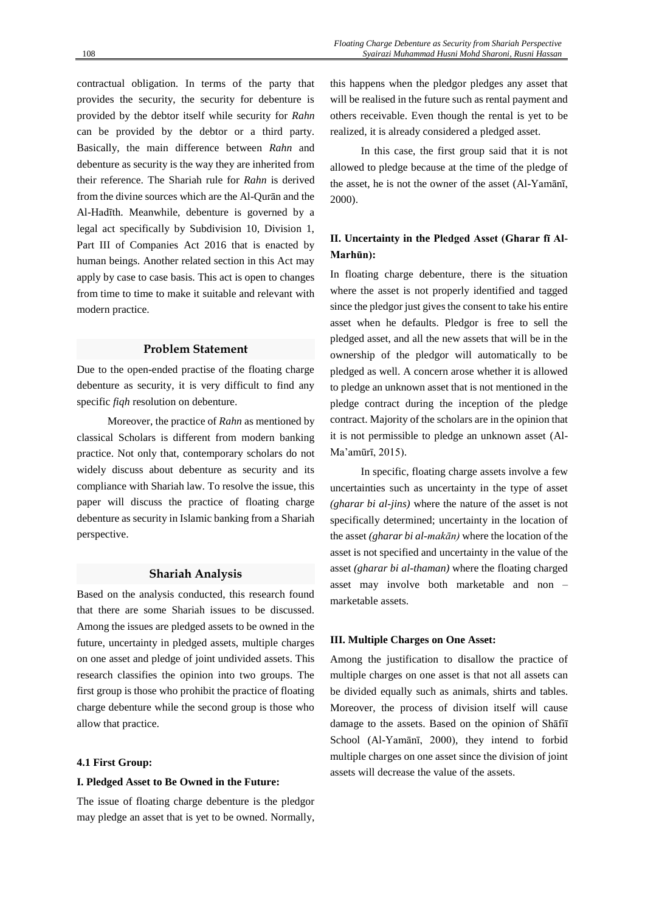contractual obligation. In terms of the party that provides the security, the security for debenture is provided by the debtor itself while security for *Rahn* can be provided by the debtor or a third party. Basically, the main difference between *Rahn* and debenture as security is the way they are inherited from their reference. The Shariah rule for *Rahn* is derived from the divine sources which are the Al-Qurān and the Al-Hadīth. Meanwhile, debenture is governed by a legal act specifically by Subdivision 10, Division 1, Part III of Companies Act 2016 that is enacted by human beings. Another related section in this Act may apply by case to case basis. This act is open to changes from time to time to make it suitable and relevant with modern practice.

# **Problem Statement**

Due to the open-ended practise of the floating charge debenture as security, it is very difficult to find any specific *fiqh* resolution on debenture.

Moreover, the practice of *Rahn* as mentioned by classical Scholars is different from modern banking practice. Not only that, contemporary scholars do not widely discuss about debenture as security and its compliance with Shariah law. To resolve the issue, this paper will discuss the practice of floating charge debenture as security in Islamic banking from a Shariah perspective.

# **Shariah Analysis**

Based on the analysis conducted, this research found that there are some Shariah issues to be discussed. Among the issues are pledged assets to be owned in the future, uncertainty in pledged assets, multiple charges on one asset and pledge of joint undivided assets. This research classifies the opinion into two groups. The first group is those who prohibit the practice of floating charge debenture while the second group is those who allow that practice.

## **4.1 First Group:**

#### **I. Pledged Asset to Be Owned in the Future:**

The issue of floating charge debenture is the pledgor may pledge an asset that is yet to be owned. Normally,

this happens when the pledgor pledges any asset that will be realised in the future such as rental payment and others receivable. Even though the rental is yet to be realized, it is already considered a pledged asset.

In this case, the first group said that it is not allowed to pledge because at the time of the pledge of the asset, he is not the owner of the asset (Al-Yamānī, 2000).

# **II. Uncertainty in the Pledged Asset (Gharar fī Al-Marhūn):**

In floating charge debenture, there is the situation where the asset is not properly identified and tagged since the pledgor just gives the consent to take his entire asset when he defaults. Pledgor is free to sell the pledged asset, and all the new assets that will be in the ownership of the pledgor will automatically to be pledged as well. A concern arose whether it is allowed to pledge an unknown asset that is not mentioned in the pledge contract during the inception of the pledge contract. Majority of the scholars are in the opinion that it is not permissible to pledge an unknown asset (Al-Ma'amūrī, 2015).

In specific, floating charge assets involve a few uncertainties such as uncertainty in the type of asset *(gharar bi al-jins)* where the nature of the asset is not specifically determined; uncertainty in the location of the asset *(gharar bi al-makān)* where the location of the asset is not specified and uncertainty in the value of the asset *(gharar bi al-thaman)* where the floating charged asset may involve both marketable and non – marketable assets.

#### **III. Multiple Charges on One Asset:**

Among the justification to disallow the practice of multiple charges on one asset is that not all assets can be divided equally such as animals, shirts and tables. Moreover, the process of division itself will cause damage to the assets. Based on the opinion of Shāfiī School (Al-Yamānī, 2000), they intend to forbid multiple charges on one asset since the division of joint assets will decrease the value of the assets.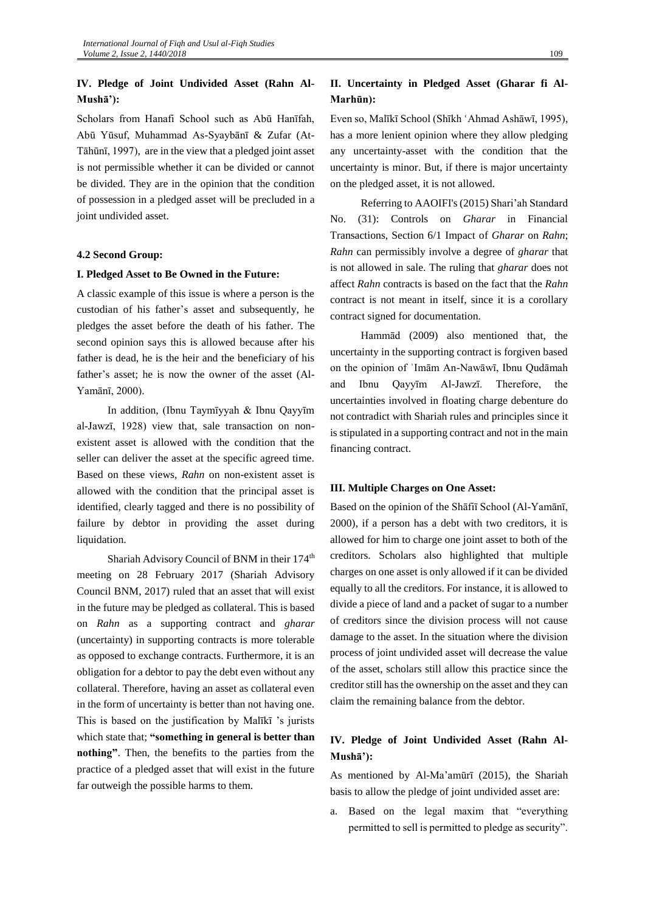# **IV. Pledge of Joint Undivided Asset (Rahn Al-Mushā'):**

Scholars from Hanafi School such as Abū Hanīfah, Abū Yūsuf, Muhammad As-Syaybānī & Zufar (At-Tāhūnī, 1997), are in the view that a pledged joint asset is not permissible whether it can be divided or cannot be divided. They are in the opinion that the condition of possession in a pledged asset will be precluded in a joint undivided asset.

## **4.2 Second Group:**

#### **I. Pledged Asset to Be Owned in the Future:**

A classic example of this issue is where a person is the custodian of his father's asset and subsequently, he pledges the asset before the death of his father. The second opinion says this is allowed because after his father is dead, he is the heir and the beneficiary of his father's asset; he is now the owner of the asset (Al-Yamānī, 2000).

In addition, (Ibnu Taymīyyah & Ibnu Qayyīm al-Jawzī, 1928) view that, sale transaction on nonexistent asset is allowed with the condition that the seller can deliver the asset at the specific agreed time. Based on these views, *Rahn* on non-existent asset is allowed with the condition that the principal asset is identified, clearly tagged and there is no possibility of failure by debtor in providing the asset during liquidation.

Shariah Advisory Council of BNM in their 174<sup>th</sup> meeting on 28 February 2017 (Shariah Advisory Council BNM, 2017) ruled that an asset that will exist in the future may be pledged as collateral. This is based on *Rahn* as a supporting contract and *gharar* (uncertainty) in supporting contracts is more tolerable as opposed to exchange contracts. Furthermore, it is an obligation for a debtor to pay the debt even without any collateral. Therefore, having an asset as collateral even in the form of uncertainty is better than not having one. This is based on the justification by Malīkī 's jurists which state that; **"something in general is better than nothing"**. Then, the benefits to the parties from the practice of a pledged asset that will exist in the future far outweigh the possible harms to them.

# **II. Uncertainty in Pledged Asset (Gharar fi Al-Marhūn):**

Even so, Malīkī School (Shīkh 'Ahmad Ashāwī, 1995), has a more lenient opinion where they allow pledging any uncertainty-asset with the condition that the uncertainty is minor. But, if there is major uncertainty on the pledged asset, it is not allowed.

Referring to AAOIFI's(2015) Shari'ah Standard No. (31): Controls on *Gharar* in Financial Transactions, Section 6/1 Impact of *Gharar* on *Rahn*; *Rahn* can permissibly involve a degree of *gharar* that is not allowed in sale. The ruling that *gharar* does not affect *Rahn* contracts is based on the fact that the *Rahn* contract is not meant in itself, since it is a corollary contract signed for documentation.

Hammād (2009) also mentioned that, the uncertainty in the supporting contract is forgiven based on the opinion of ʾImām An-Nawāwī, Ibnu Qudāmah and Ibnu Qayyīm Al-Jawzī. Therefore, the uncertainties involved in floating charge debenture do not contradict with Shariah rules and principles since it is stipulated in a supporting contract and not in the main financing contract.

### **III. Multiple Charges on One Asset:**

Based on the opinion of the Shāfiī School (Al-Yamānī, 2000), if a person has a debt with two creditors, it is allowed for him to charge one joint asset to both of the creditors. Scholars also highlighted that multiple charges on one asset is only allowed if it can be divided equally to all the creditors. For instance, it is allowed to divide a piece of land and a packet of sugar to a number of creditors since the division process will not cause damage to the asset. In the situation where the division process of joint undivided asset will decrease the value of the asset, scholars still allow this practice since the creditor still has the ownership on the asset and they can claim the remaining balance from the debtor.

# **IV. Pledge of Joint Undivided Asset (Rahn Al-Mushā'):**

As mentioned by Al-Ma'amūrī (2015), the Shariah basis to allow the pledge of joint undivided asset are:

a. Based on the legal maxim that "everything permitted to sell is permitted to pledge as security".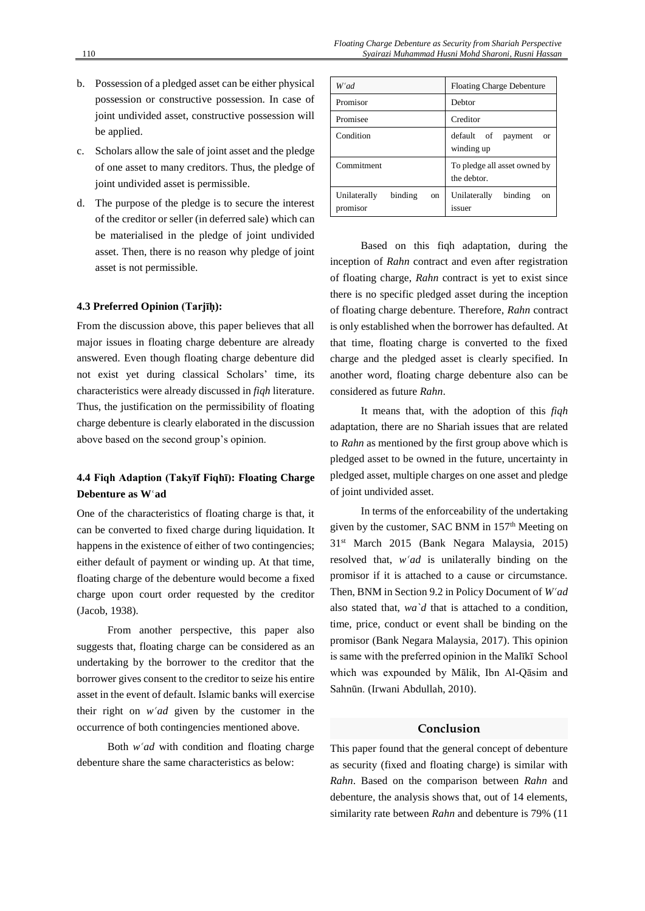- b. Possession of a pledged asset can be either physical possession or constructive possession. In case of joint undivided asset, constructive possession will be applied.
- c. Scholars allow the sale of joint asset and the pledge of one asset to many creditors. Thus, the pledge of joint undivided asset is permissible.
- d. The purpose of the pledge is to secure the interest of the creditor or seller (in deferred sale) which can be materialised in the pledge of joint undivided asset. Then, there is no reason why pledge of joint asset is not permissible.

## **4.3 Preferred Opinion (Tarjīḥ):**

From the discussion above, this paper believes that all major issues in floating charge debenture are already answered. Even though floating charge debenture did not exist yet during classical Scholars' time, its characteristics were already discussed in *fiqh* literature. Thus, the justification on the permissibility of floating charge debenture is clearly elaborated in the discussion above based on the second group's opinion.

# **4.4 Fiqh Adaption (Takyīf Fiqhī): Floating Charge**  Debenture as W'ad

One of the characteristics of floating charge is that, it can be converted to fixed charge during liquidation. It happens in the existence of either of two contingencies; either default of payment or winding up. At that time, floating charge of the debenture would become a fixed charge upon court order requested by the creditor (Jacob, 1938).

From another perspective, this paper also suggests that, floating charge can be considered as an undertaking by the borrower to the creditor that the borrower gives consent to the creditor to seize his entire asset in the event of default. Islamic banks will exercise their right on  $w^{\prime}$ *ad* given by the customer in the occurrence of both contingencies mentioned above.

Both  $w^{\dagger}$ *ad* with condition and floating charge debenture share the same characteristics as below:

| W'ad                                                 | <b>Floating Charge Debenture</b>                 |
|------------------------------------------------------|--------------------------------------------------|
| Promisor                                             | Debtor                                           |
| Promisee                                             | Creditor                                         |
| Condition                                            | default of<br>payment<br><b>or</b><br>winding up |
| Commitment                                           | To pledge all asset owned by<br>the debtor.      |
| binding<br>Unilaterally<br><sub>on</sub><br>promisor | binding<br>Unilaterally<br>on<br>issuer          |

Based on this fiqh adaptation, during the inception of *Rahn* contract and even after registration of floating charge, *Rahn* contract is yet to exist since there is no specific pledged asset during the inception of floating charge debenture. Therefore, *Rahn* contract is only established when the borrower has defaulted. At that time, floating charge is converted to the fixed charge and the pledged asset is clearly specified. In another word, floating charge debenture also can be considered as future *Rahn*.

It means that, with the adoption of this *fiqh* adaptation, there are no Shariah issues that are related to *Rahn* as mentioned by the first group above which is pledged asset to be owned in the future, uncertainty in pledged asset, multiple charges on one asset and pledge of joint undivided asset.

In terms of the enforceability of the undertaking given by the customer, SAC BNM in 157<sup>th</sup> Meeting on 31st March 2015 (Bank Negara Malaysia, 2015) resolved that, *w'ad* is unilaterally binding on the promisor if it is attached to a cause or circumstance. Then, BNM in Section 9.2 in Policy Document of *W<sup><i>ad*</sup></sup> also stated that, *wa`d* that is attached to a condition, time, price, conduct or event shall be binding on the promisor (Bank Negara Malaysia, 2017). This opinion is same with the preferred opinion in the Malīkī School which was expounded by Mālik, Ibn Al-Qāsim and Sahnūn. (Irwani Abdullah, 2010).

# **Conclusion**

This paper found that the general concept of debenture as security (fixed and floating charge) is similar with *Rahn*. Based on the comparison between *Rahn* and debenture, the analysis shows that, out of 14 elements, similarity rate between *Rahn* and debenture is 79% (11